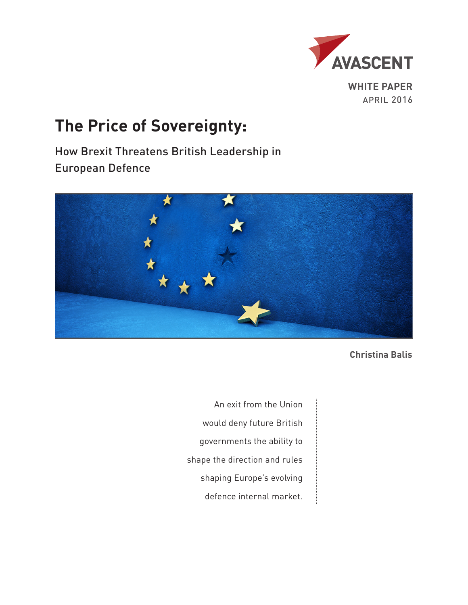

APRIL 2016

## **The Price of Sovereignty:**

How Brexit Threatens British Leadership in European Defence



**Christina Balis**

An exit from the Union would deny future British governments the ability to shape the direction and rules shaping Europe's evolving defence internal market.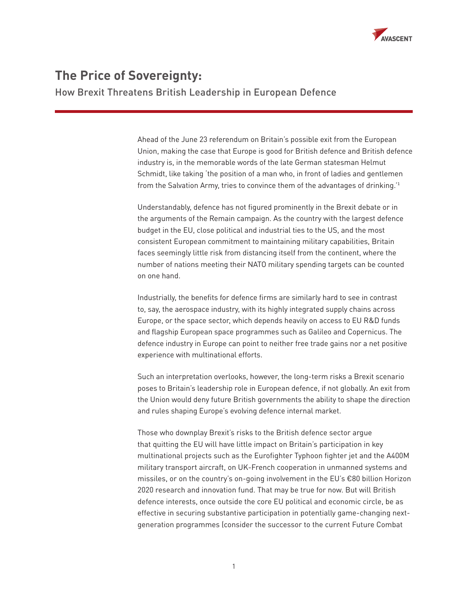

## **The Price of Sovereignty:**

How Brexit Threatens British Leadership in European Defence

Ahead of the June 23 referendum on Britain's possible exit from the European Union, making the case that Europe is good for British defence and British defence industry is, in the memorable words of the late German statesman Helmut Schmidt, like taking 'the position of a man who, in front of ladies and gentlemen from the Salvation Army, tries to convince them of the advantages of drinking.'<sup>1</sup>

Understandably, defence has not figured prominently in the Brexit debate or in the arguments of the Remain campaign. As the country with the largest defence budget in the EU, close political and industrial ties to the US, and the most consistent European commitment to maintaining military capabilities, Britain faces seemingly little risk from distancing itself from the continent, where the number of nations meeting their NATO military spending targets can be counted on one hand.

Industrially, the benefits for defence firms are similarly hard to see in contrast to, say, the aerospace industry, with its highly integrated supply chains across Europe, or the space sector, which depends heavily on access to EU R&D funds and flagship European space programmes such as Galileo and Copernicus. The defence industry in Europe can point to neither free trade gains nor a net positive experience with multinational efforts.

Such an interpretation overlooks, however, the long-term risks a Brexit scenario poses to Britain's leadership role in European defence, if not globally. An exit from the Union would deny future British governments the ability to shape the direction and rules shaping Europe's evolving defence internal market.

Those who downplay Brexit's risks to the British defence sector argue that quitting the EU will have little impact on Britain's participation in key multinational projects such as the Eurofighter Typhoon fighter jet and the A400M military transport aircraft, on UK-French cooperation in unmanned systems and missiles, or on the country's on-going involvement in the EU's €80 billion Horizon 2020 research and innovation fund. That may be true for now. But will British defence interests, once outside the core EU political and economic circle, be as effective in securing substantive participation in potentially game-changing nextgeneration programmes (consider the successor to the current Future Combat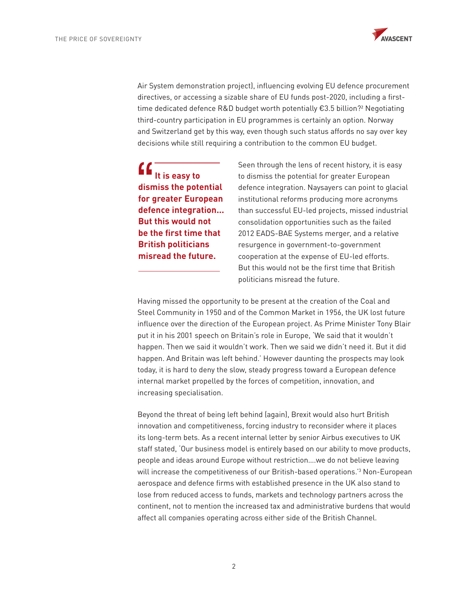

Air System demonstration project), influencing evolving EU defence procurement directives, or accessing a sizable share of EU funds post-2020, including a firsttime dedicated defence R&D budget worth potentially €3.5 billion?<sup>2</sup> Negotiating third-country participation in EU programmes is certainly an option. Norway and Switzerland get by this way, even though such status affords no say over key decisions while still requiring a contribution to the common EU budget.

 **It is easy to dismiss the potential for greater European defence integration... But this would not be the first time that British politicians misread the future.** 

Seen through the lens of recent history, it is easy to dismiss the potential for greater European defence integration. Naysayers can point to glacial institutional reforms producing more acronyms than successful EU-led projects, missed industrial consolidation opportunities such as the failed 2012 EADS-BAE Systems merger, and a relative resurgence in government-to-government cooperation at the expense of EU-led efforts. But this would not be the first time that British politicians misread the future.

Having missed the opportunity to be present at the creation of the Coal and Steel Community in 1950 and of the Common Market in 1956, the UK lost future influence over the direction of the European project. As Prime Minister Tony Blair put it in his 2001 speech on Britain's role in Europe, 'We said that it wouldn't happen. Then we said it wouldn't work. Then we said we didn't need it. But it did happen. And Britain was left behind.' However daunting the prospects may look today, it is hard to deny the slow, steady progress toward a European defence internal market propelled by the forces of competition, innovation, and increasing specialisation.

Beyond the threat of being left behind (again), Brexit would also hurt British innovation and competitiveness, forcing industry to reconsider where it places its long-term bets. As a recent internal letter by senior Airbus executives to UK staff stated, 'Our business model is entirely based on our ability to move products, people and ideas around Europe without restriction….we do not believe leaving will increase the competitiveness of our British-based operations.'3 Non-European aerospace and defence firms with established presence in the UK also stand to lose from reduced access to funds, markets and technology partners across the continent, not to mention the increased tax and administrative burdens that would affect all companies operating across either side of the British Channel.